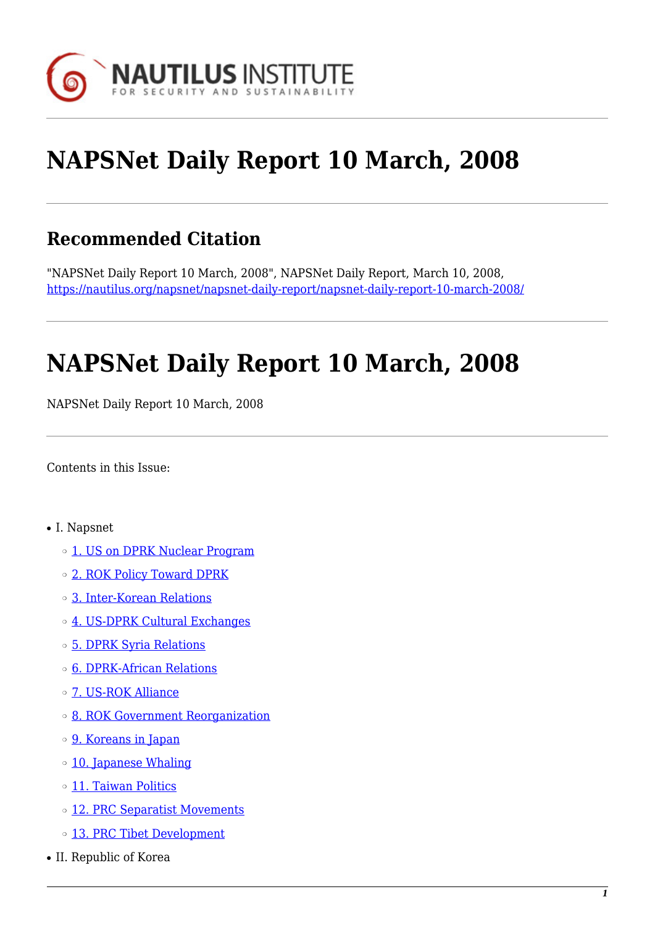

# **NAPSNet Daily Report 10 March, 2008**

## **Recommended Citation**

"NAPSNet Daily Report 10 March, 2008", NAPSNet Daily Report, March 10, 2008, <https://nautilus.org/napsnet/napsnet-daily-report/napsnet-daily-report-10-march-2008/>

# **NAPSNet Daily Report 10 March, 2008**

NAPSNet Daily Report 10 March, 2008

<span id="page-0-0"></span>Contents in this Issue:

- I. Napsnet
	- o [1. US on DPRK Nuclear Program](#page-1-0)
	- o [2. ROK Policy Toward DPRK](#page-1-1)
	- ❍ [3. Inter-Korean Relations](#page-1-2)
	- ❍ [4. US-DPRK Cultural Exchanges](#page-2-0)
	- ❍ [5. DPRK Syria Relations](#page-2-1)
	- ❍ [6. DPRK-African Relations](#page-2-2)
	- ❍ [7. US-ROK Alliance](#page-2-3)
	- ❍ [8. ROK Government Reorganization](#page-3-0)
	- ❍ [9. Koreans in Japan](#page-3-1)
	- ❍ [10. Japanese Whaling](#page-3-2)
	- o [11. Taiwan Politics](#page-3-3)
	- o [12. PRC Separatist Movements](#page-4-0)
	- ❍ [13. PRC Tibet Development](#page-4-1)
- II. Republic of Korea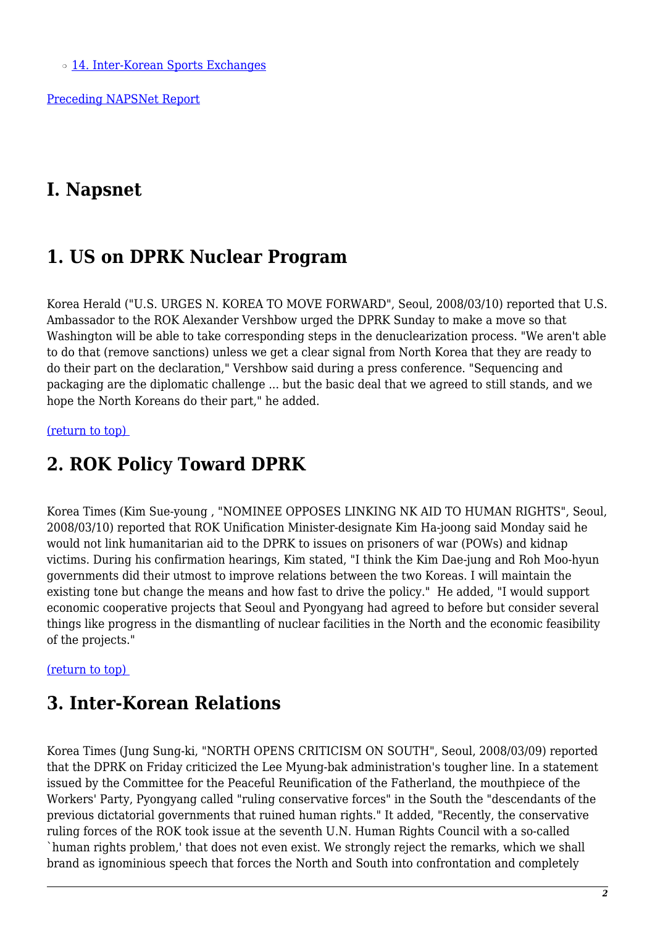o [14. Inter-Korean Sports Exchanges](#page-5-0)

[Preceding NAPSNet Report](https://nautilus.org/mailing-lists/napsnet/dr/2008-2/napsnet-daily-report-7-march-2008/)

### **I. Napsnet**

### <span id="page-1-0"></span>**1. US on DPRK Nuclear Program**

Korea Herald ("U.S. URGES N. KOREA TO MOVE FORWARD", Seoul, 2008/03/10) reported that U.S. Ambassador to the ROK Alexander Vershbow urged the DPRK Sunday to make a move so that Washington will be able to take corresponding steps in the denuclearization process. "We aren't able to do that (remove sanctions) unless we get a clear signal from North Korea that they are ready to do their part on the declaration," Vershbow said during a press conference. "Sequencing and packaging are the diplomatic challenge ... but the basic deal that we agreed to still stands, and we hope the North Koreans do their part," he added.

#### <span id="page-1-1"></span>[\(return to top\)](#page-0-0)

### **2. ROK Policy Toward DPRK**

Korea Times (Kim Sue-young , "NOMINEE OPPOSES LINKING NK AID TO HUMAN RIGHTS", Seoul, 2008/03/10) reported that ROK Unification Minister-designate Kim Ha-joong said Monday said he would not link humanitarian aid to the DPRK to issues on prisoners of war (POWs) and kidnap victims. During his confirmation hearings, Kim stated, "I think the Kim Dae-jung and Roh Moo-hyun governments did their utmost to improve relations between the two Koreas. I will maintain the existing tone but change the means and how fast to drive the policy." He added, "I would support economic cooperative projects that Seoul and Pyongyang had agreed to before but consider several things like progress in the dismantling of nuclear facilities in the North and the economic feasibility of the projects."

#### <span id="page-1-2"></span>[\(return to top\)](#page-0-0)

### **3. Inter-Korean Relations**

Korea Times (Jung Sung-ki, "NORTH OPENS CRITICISM ON SOUTH", Seoul, 2008/03/09) reported that the DPRK on Friday criticized the Lee Myung-bak administration's tougher line. In a statement issued by the Committee for the Peaceful Reunification of the Fatherland, the mouthpiece of the Workers' Party, Pyongyang called "ruling conservative forces" in the South the "descendants of the previous dictatorial governments that ruined human rights." It added, "Recently, the conservative ruling forces of the ROK took issue at the seventh U.N. Human Rights Council with a so-called `human rights problem,' that does not even exist. We strongly reject the remarks, which we shall brand as ignominious speech that forces the North and South into confrontation and completely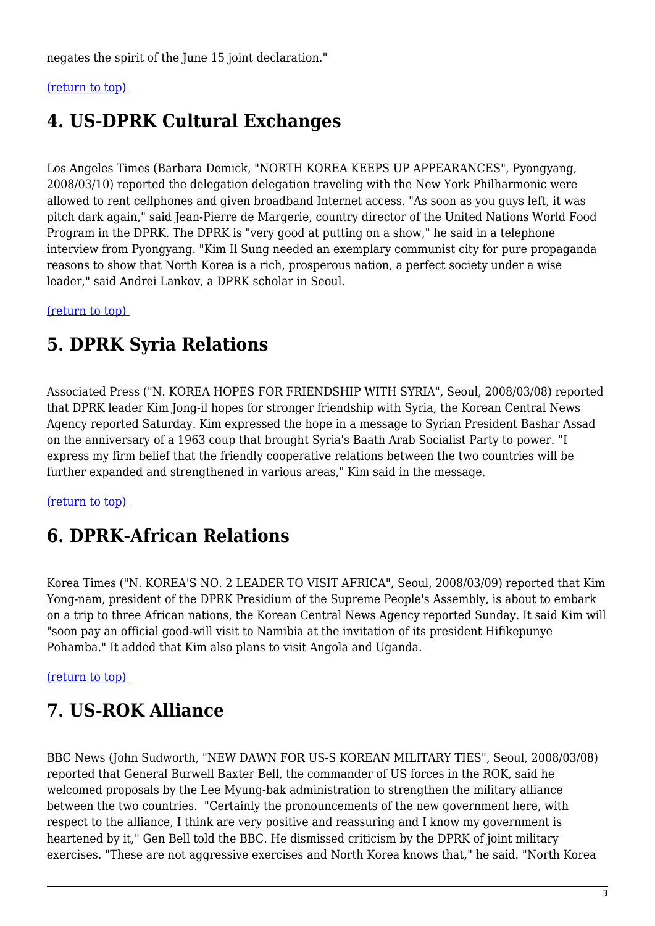negates the spirit of the June 15 joint declaration."

#### <span id="page-2-0"></span>[\(return to top\)](#page-0-0)

### **4. US-DPRK Cultural Exchanges**

Los Angeles Times (Barbara Demick, "NORTH KOREA KEEPS UP APPEARANCES", Pyongyang, 2008/03/10) reported the delegation delegation traveling with the New York Philharmonic were allowed to rent cellphones and given broadband Internet access. "As soon as you guys left, it was pitch dark again," said Jean-Pierre de Margerie, country director of the United Nations World Food Program in the DPRK. The DPRK is "very good at putting on a show," he said in a telephone interview from Pyongyang. "Kim Il Sung needed an exemplary communist city for pure propaganda reasons to show that North Korea is a rich, prosperous nation, a perfect society under a wise leader," said Andrei Lankov, a DPRK scholar in Seoul.

<span id="page-2-1"></span>[\(return to top\)](#page-0-0) 

### **5. DPRK Syria Relations**

Associated Press ("N. KOREA HOPES FOR FRIENDSHIP WITH SYRIA", Seoul, 2008/03/08) reported that DPRK leader Kim Jong-il hopes for stronger friendship with Syria, the Korean Central News Agency reported Saturday. Kim expressed the hope in a message to Syrian President Bashar Assad on the anniversary of a 1963 coup that brought Syria's Baath Arab Socialist Party to power. "I express my firm belief that the friendly cooperative relations between the two countries will be further expanded and strengthened in various areas," Kim said in the message.

#### <span id="page-2-2"></span>[\(return to top\)](#page-0-0)

## **6. DPRK-African Relations**

Korea Times ("N. KOREA'S NO. 2 LEADER TO VISIT AFRICA", Seoul, 2008/03/09) reported that Kim Yong-nam, president of the DPRK Presidium of the Supreme People's Assembly, is about to embark on a trip to three African nations, the Korean Central News Agency reported Sunday. It said Kim will "soon pay an official good-will visit to Namibia at the invitation of its president Hifikepunye Pohamba." It added that Kim also plans to visit Angola and Uganda.

#### <span id="page-2-3"></span>[\(return to top\)](#page-0-0)

## **7. US-ROK Alliance**

BBC News (John Sudworth, "NEW DAWN FOR US-S KOREAN MILITARY TIES", Seoul, 2008/03/08) reported that General Burwell Baxter Bell, the commander of US forces in the ROK, said he welcomed proposals by the Lee Myung-bak administration to strengthen the military alliance between the two countries. "Certainly the pronouncements of the new government here, with respect to the alliance, I think are very positive and reassuring and I know my government is heartened by it," Gen Bell told the BBC. He dismissed criticism by the DPRK of joint military exercises. "These are not aggressive exercises and North Korea knows that," he said. "North Korea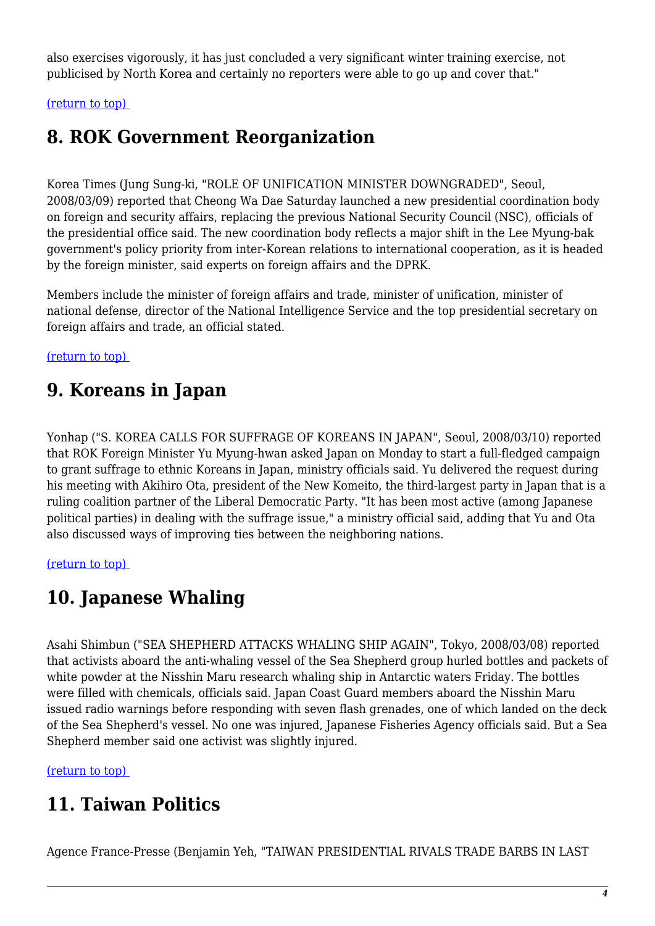also exercises vigorously, it has just concluded a very significant winter training exercise, not publicised by North Korea and certainly no reporters were able to go up and cover that."

<span id="page-3-0"></span>[\(return to top\)](#page-0-0) 

## **8. ROK Government Reorganization**

Korea Times (Jung Sung-ki, "ROLE OF UNIFICATION MINISTER DOWNGRADED", Seoul, 2008/03/09) reported that Cheong Wa Dae Saturday launched a new presidential coordination body on foreign and security affairs, replacing the previous National Security Council (NSC), officials of the presidential office said. The new coordination body reflects a major shift in the Lee Myung-bak government's policy priority from inter-Korean relations to international cooperation, as it is headed by the foreign minister, said experts on foreign affairs and the DPRK.

Members include the minister of foreign affairs and trade, minister of unification, minister of national defense, director of the National Intelligence Service and the top presidential secretary on foreign affairs and trade, an official stated.

<span id="page-3-1"></span>[\(return to top\)](#page-0-0) 

### **9. Koreans in Japan**

Yonhap ("S. KOREA CALLS FOR SUFFRAGE OF KOREANS IN JAPAN", Seoul, 2008/03/10) reported that ROK Foreign Minister Yu Myung-hwan asked Japan on Monday to start a full-fledged campaign to grant suffrage to ethnic Koreans in Japan, ministry officials said. Yu delivered the request during his meeting with Akihiro Ota, president of the New Komeito, the third-largest party in Japan that is a ruling coalition partner of the Liberal Democratic Party. "It has been most active (among Japanese political parties) in dealing with the suffrage issue," a ministry official said, adding that Yu and Ota also discussed ways of improving ties between the neighboring nations.

<span id="page-3-2"></span>[\(return to top\)](#page-0-0) 

## **10. Japanese Whaling**

Asahi Shimbun ("SEA SHEPHERD ATTACKS WHALING SHIP AGAIN", Tokyo, 2008/03/08) reported that activists aboard the anti-whaling vessel of the Sea Shepherd group hurled bottles and packets of white powder at the Nisshin Maru research whaling ship in Antarctic waters Friday. The bottles were filled with chemicals, officials said. Japan Coast Guard members aboard the Nisshin Maru issued radio warnings before responding with seven flash grenades, one of which landed on the deck of the Sea Shepherd's vessel. No one was injured, Japanese Fisheries Agency officials said. But a Sea Shepherd member said one activist was slightly injured.

<span id="page-3-3"></span>[\(return to top\)](#page-0-0) 

# **11. Taiwan Politics**

Agence France-Presse (Benjamin Yeh, "TAIWAN PRESIDENTIAL RIVALS TRADE BARBS IN LAST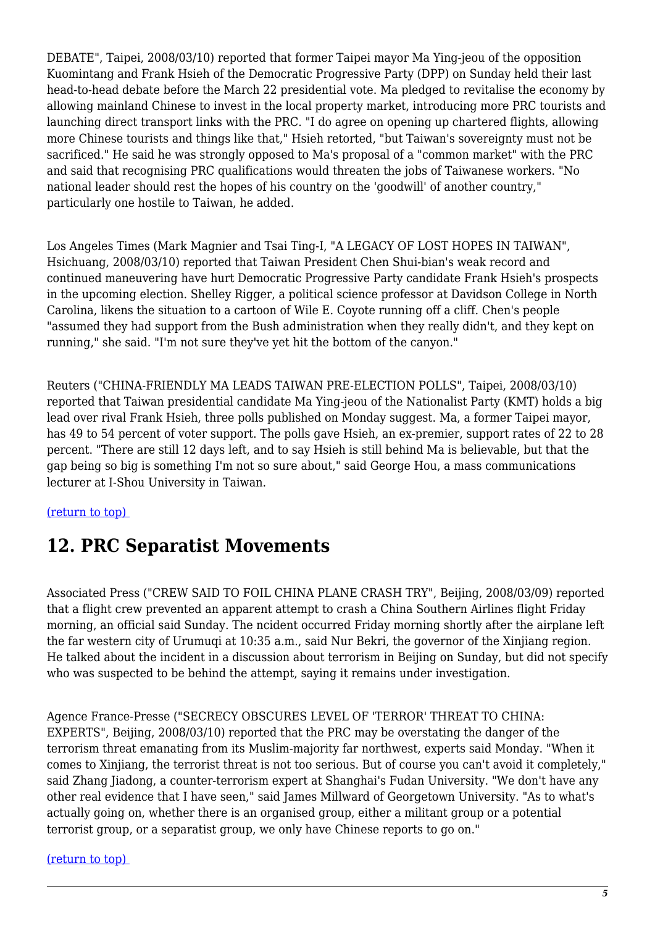DEBATE", Taipei, 2008/03/10) reported that former Taipei mayor Ma Ying-jeou of the opposition Kuomintang and Frank Hsieh of the Democratic Progressive Party (DPP) on Sunday held their last head-to-head debate before the March 22 presidential vote. Ma pledged to revitalise the economy by allowing mainland Chinese to invest in the local property market, introducing more PRC tourists and launching direct transport links with the PRC. "I do agree on opening up chartered flights, allowing more Chinese tourists and things like that," Hsieh retorted, "but Taiwan's sovereignty must not be sacrificed." He said he was strongly opposed to Ma's proposal of a "common market" with the PRC and said that recognising PRC qualifications would threaten the jobs of Taiwanese workers. "No national leader should rest the hopes of his country on the 'goodwill' of another country," particularly one hostile to Taiwan, he added.

Los Angeles Times (Mark Magnier and Tsai Ting-I, "A LEGACY OF LOST HOPES IN TAIWAN", Hsichuang, 2008/03/10) reported that Taiwan President Chen Shui-bian's weak record and continued maneuvering have hurt Democratic Progressive Party candidate Frank Hsieh's prospects in the upcoming election. Shelley Rigger, a political science professor at Davidson College in North Carolina, likens the situation to a cartoon of Wile E. Coyote running off a cliff. Chen's people "assumed they had support from the Bush administration when they really didn't, and they kept on running," she said. "I'm not sure they've yet hit the bottom of the canyon."

Reuters ("CHINA-FRIENDLY MA LEADS TAIWAN PRE-ELECTION POLLS", Taipei, 2008/03/10) reported that Taiwan presidential candidate Ma Ying-jeou of the Nationalist Party (KMT) holds a big lead over rival Frank Hsieh, three polls published on Monday suggest. Ma, a former Taipei mayor, has 49 to 54 percent of voter support. The polls gave Hsieh, an ex-premier, support rates of 22 to 28 percent. "There are still 12 days left, and to say Hsieh is still behind Ma is believable, but that the gap being so big is something I'm not so sure about," said George Hou, a mass communications lecturer at I-Shou University in Taiwan.

#### <span id="page-4-0"></span>[\(return to top\)](#page-0-0)

### **12. PRC Separatist Movements**

Associated Press ("CREW SAID TO FOIL CHINA PLANE CRASH TRY", Beijing, 2008/03/09) reported that a flight crew prevented an apparent attempt to crash a China Southern Airlines flight Friday morning, an official said Sunday. The ncident occurred Friday morning shortly after the airplane left the far western city of Urumuqi at 10:35 a.m., said Nur Bekri, the governor of the Xinjiang region. He talked about the incident in a discussion about terrorism in Beijing on Sunday, but did not specify who was suspected to be behind the attempt, saying it remains under investigation.

Agence France-Presse ("SECRECY OBSCURES LEVEL OF 'TERROR' THREAT TO CHINA: EXPERTS", Beijing, 2008/03/10) reported that the PRC may be overstating the danger of the terrorism threat emanating from its Muslim-majority far northwest, experts said Monday. "When it comes to Xinjiang, the terrorist threat is not too serious. But of course you can't avoid it completely," said Zhang Jiadong, a counter-terrorism expert at Shanghai's Fudan University. "We don't have any other real evidence that I have seen," said James Millward of Georgetown University. "As to what's actually going on, whether there is an organised group, either a militant group or a potential terrorist group, or a separatist group, we only have Chinese reports to go on."

#### <span id="page-4-1"></span>[\(return to top\)](#page-0-0)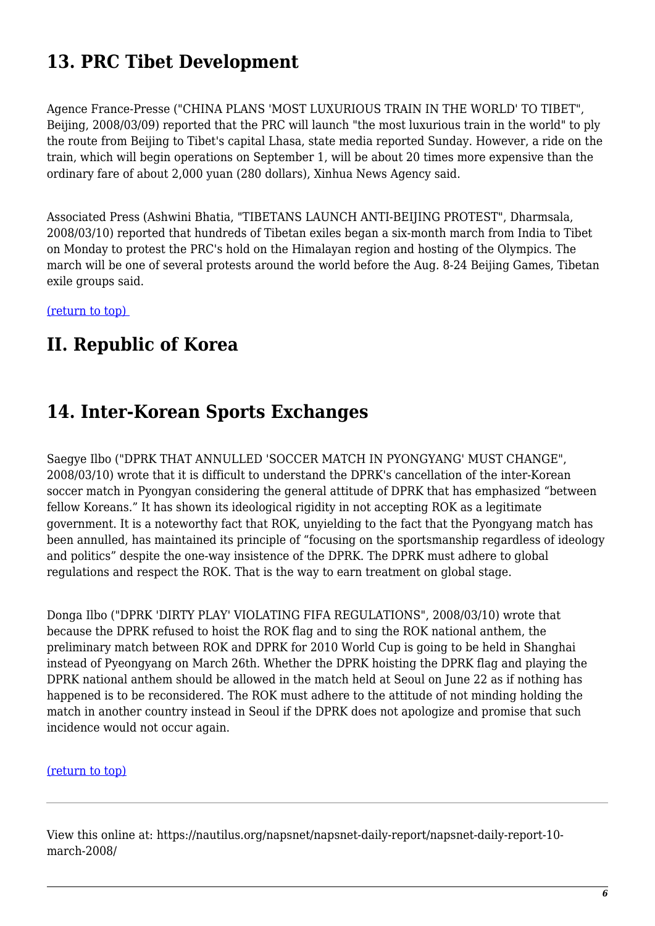# **13. PRC Tibet Development**

Agence France-Presse ("CHINA PLANS 'MOST LUXURIOUS TRAIN IN THE WORLD' TO TIBET", Beijing, 2008/03/09) reported that the PRC will launch "the most luxurious train in the world" to ply the route from Beijing to Tibet's capital Lhasa, state media reported Sunday. However, a ride on the train, which will begin operations on September 1, will be about 20 times more expensive than the ordinary fare of about 2,000 yuan (280 dollars), Xinhua News Agency said.

Associated Press (Ashwini Bhatia, "TIBETANS LAUNCH ANTI-BEIJING PROTEST", Dharmsala, 2008/03/10) reported that hundreds of Tibetan exiles began a six-month march from India to Tibet on Monday to protest the PRC's hold on the Himalayan region and hosting of the Olympics. The march will be one of several protests around the world before the Aug. 8-24 Beijing Games, Tibetan exile groups said.

[\(return to top\)](#page-0-0) 

### **II. Republic of Korea**

### <span id="page-5-0"></span>**14. Inter-Korean Sports Exchanges**

Saegye Ilbo ("DPRK THAT ANNULLED 'SOCCER MATCH IN PYONGYANG' MUST CHANGE", 2008/03/10) wrote that it is difficult to understand the DPRK's cancellation of the inter-Korean soccer match in Pyongyan considering the general attitude of DPRK that has emphasized "between fellow Koreans." It has shown its ideological rigidity in not accepting ROK as a legitimate government. It is a noteworthy fact that ROK, unyielding to the fact that the Pyongyang match has been annulled, has maintained its principle of "focusing on the sportsmanship regardless of ideology and politics" despite the one-way insistence of the DPRK. The DPRK must adhere to global regulations and respect the ROK. That is the way to earn treatment on global stage.

Donga Ilbo ("DPRK 'DIRTY PLAY' VIOLATING FIFA REGULATIONS", 2008/03/10) wrote that because the DPRK refused to hoist the ROK flag and to sing the ROK national anthem, the preliminary match between ROK and DPRK for 2010 World Cup is going to be held in Shanghai instead of Pyeongyang on March 26th. Whether the DPRK hoisting the DPRK flag and playing the DPRK national anthem should be allowed in the match held at Seoul on June 22 as if nothing has happened is to be reconsidered. The ROK must adhere to the attitude of not minding holding the match in another country instead in Seoul if the DPRK does not apologize and promise that such incidence would not occur again.

#### [\(return to top\)](#page-0-0)

View this online at: https://nautilus.org/napsnet/napsnet-daily-report/napsnet-daily-report-10 march-2008/